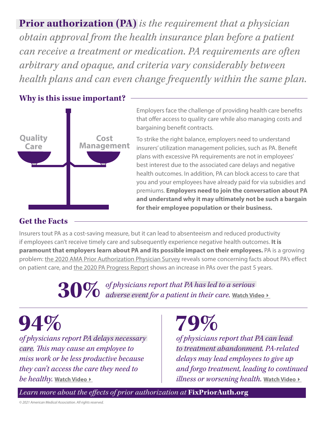**Prior authorization (PA)** *is the requirement that a physician obtain approval from the health insurance plan before a patient can receive a treatment or medication. PA requirements are often arbitrary and opaque, and criteria vary considerably between health plans and can even change frequently within the same plan.*

#### **Why is this issue important?**



Employers face the challenge of providing health care benefits that offer access to quality care while also managing costs and bargaining benefit contracts.

To strike the right balance, employers need to understand insurers' utilization management policies, such as PA. Benefit plans with excessive PA requirements are not in employees' best interest due to the associated care delays and negative health outcomes. In addition, PA can block access to care that you and your employees have already paid for via subsidies and premiums. **Employers need to join the conversation about PA and understand why it may ultimately not be such a bargain for their employee population or their business.**

# **Get the Facts**

Insurers tout PA as a cost-saving measure, but it can lead to absenteeism and reduced productivity if employees can't receive timely care and subsequently experience negative health outcomes. **It is paramount that employers learn about PA and its possible impact on their employees.** PA is a growing problem: [the 2020 AMA Prior Authorization Physician Survey](https://www.ama-assn.org/system/files/2021-04/prior-authorization-survey.pdf) reveals some concerning facts about PA's effect on patient care, and [the 2020 PA Progress Report](https://www.ama-assn.org/system/files/2021-05/prior-authorization-reform-progress-update.pdf) shows an increase in PAs over the past 5 years.

> **30%** *of physicians report that PA has led to a serious adverse event for a patient in their care.* **[Watch Video](https://youtu.be/d_BalDeq-NM)**4

# **94%**

*of physicians report PA delays necessary care. This may cause an employee to miss work or be less productive because they can't access the care they need to be healthy.* **[Watch Video](https://youtu.be/DI3O5nxcatM)**4

# **79%**

*of physicians report that PA can lead to treatment abandonment. PA-related delays may lead employees to give up and forgo treatment, leading to continued illness or worsening health.* [Watch Video](https://youtu.be/uz0d3262Z-4)  $\rightarrow$ 

*Learn more about the effects of prior authorization at* **FixPriorAuth.org**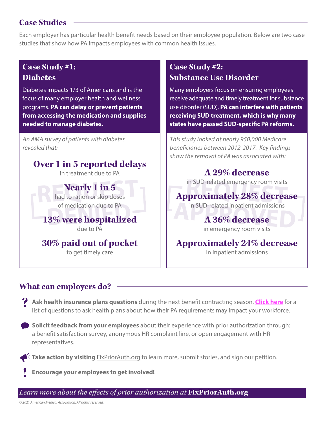#### **Case Studies**

Each employer has particular health benefit needs based on their employee population. Below are two case studies that show how PA impacts employees with common health issues.

#### **Case Study #1: Diabetes**

Diabetes impacts 1/3 of Americans and is the focus of many employer health and wellness programs. **PA can delay or prevent patients from accessing the medication and supplies needed to manage diabetes.** 

*An AMA survey of patients with diabetes revealed that:*

# **Over 1 in 5 reported delays**

in treatment due to PA

**Nearly 1 in 5 Rearly 1 in 5**<br>had to ration or skip doses of medication due to PA

**13% were hospitalized**  due to PA

**30% paid out of pocket**  to get timely care

#### **Case Study #2: Substance Use Disorder**

Many employers focus on ensuring employees receive adequate and timely treatment for substance use disorder (SUD). **PA can interfere with patients receiving SUD treatment, which is why many states have passed SUD-specific PA reforms.** 

*This study looked at nearly 950,000 Medicare beneficiaries between 2012-2017. Key findings show the removal of PA was associated with:* 

## **A 29% decrease**

in SUD-related emergency room visits

**Approximately 28% decrease**  in SUD-related inpatient admissions<br> **A 36% decrease PERIMPLE IS THE SULP-related emergency room visits<br>
had to ration or skip doses<br>
of medication due to PA<br>
<b>DENIED APPROXimately 28% decrease**<br> **DENIED -related inpatient admissions**<br> **A 36% decrease** 

**A 36% decrease**  in emergency room visits

**Approximately 24% decrease**  in inpatient admissions

#### **What can employers do?**

 **Ask health insurance plans questions** during the next benefit contracting season. **Click here** for a list of questions to ask health plans about how their PA requirements may impact your workforce.

 **Solicit feedback from your employees** about their experience with prior authorization through: a benefit satisfaction survey, anonymous HR complaint line, or open engagement with HR representatives.

**Take action by visiting FixPriorAuth.org** to learn more, submit stories, and sign our petition.

 **Encourage your employees to get involved!**

*Learn more about the effects of prior authorization at* **FixPriorAuth.org**